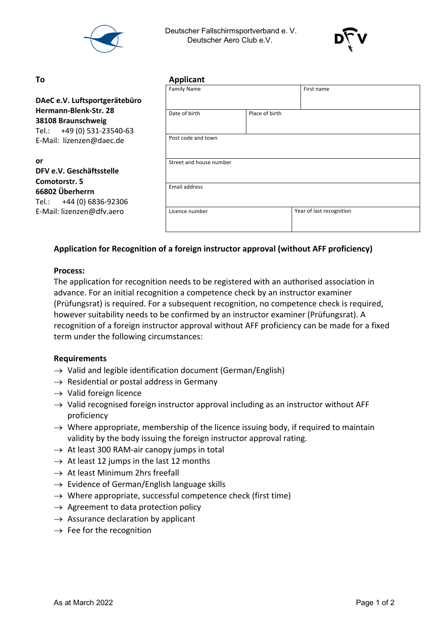

 Deutscher Fallschirmsportverband e. V. Deutscher Aero Club e.V.



#### **To Applicant**

|                                                                           | <b>Family Name</b>      |                | First name               |  |
|---------------------------------------------------------------------------|-------------------------|----------------|--------------------------|--|
| DAeC e.V. Luftsportgerätebüro                                             |                         |                |                          |  |
| Hermann-Blenk-Str. 28<br>38108 Braunschweig<br>Tel.: +49 (0) 531-23540-63 | Date of birth           | Place of birth |                          |  |
| E-Mail: lizenzen@daec.de                                                  | Post code and town      |                |                          |  |
| or<br>DFV e.V. Geschäftsstelle<br>Comotorstr. 5                           | Street and house number |                |                          |  |
| 66802 Überherrn<br>+44 (0) 6836-92306<br>Tel.:                            | <b>Email address</b>    |                |                          |  |
| E-Mail: lizenzen@dfv.aero                                                 | Licence number          |                | Year of last recognition |  |

# **Application for Recognition of a foreign instructor approval (without AFF proficiency)**

## **Process:**

The application for recognition needs to be registered with an authorised association in advance. For an initial recognition a competence check by an instructor examiner (Prüfungsrat) is required. For a subsequent recognition, no competence check is required, however suitability needs to be confirmed by an instructor examiner (Prüfungsrat). A recognition of a foreign instructor approval without AFF proficiency can be made for a fixed term under the following circumstances:

### **Requirements**

- $\rightarrow$  Valid and legible identification document (German/English)
- $\rightarrow$  Residential or postal address in Germany
- $\rightarrow$  Valid foreign licence
- $\rightarrow$  Valid recognised foreign instructor approval including as an instructor without AFF proficiency
- $\rightarrow$  Where appropriate, membership of the licence issuing body, if required to maintain validity by the body issuing the foreign instructor approval rating.
- $\rightarrow$  At least 300 RAM-air canopy jumps in total
- $\rightarrow$  At least 12 jumps in the last 12 months
- $\rightarrow$  At least Minimum 2hrs freefall
- $\rightarrow$  Evidence of German/English language skills
- $\rightarrow$  Where appropriate, successful competence check (first time)
- $\rightarrow$  Agreement to data protection policy
- $\rightarrow$  Assurance declaration by applicant
- $\rightarrow$  Fee for the recognition